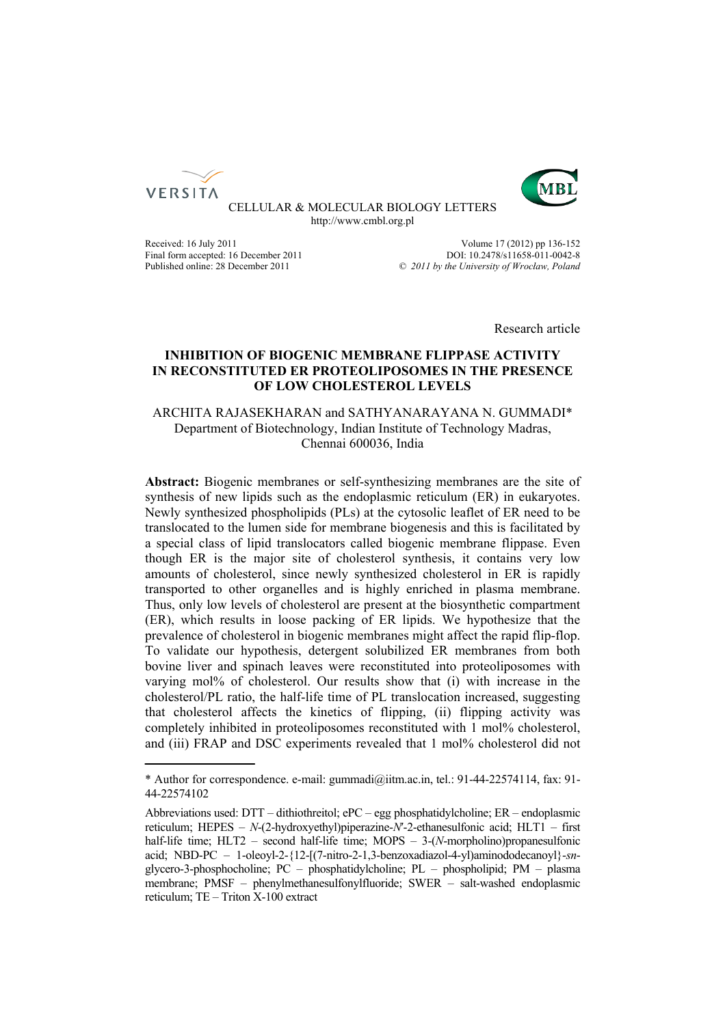



CELLULAR & MOLECULAR BIOLOGY LETTERS http://www.cmbl.org.pl

Received: 16 July 2011 Volume 17 (2012) pp 136-152 Final form accepted: 16 December 2011 DOI: 10.2478/s11658-011-0042-8<br>Published online: 28 December 2011  $\degree$  2011 by the University of Wroclaw. Poland Published online: 28 December 2011 *© 2011 by the University of Wrocław, Poland*

Research article

# **INHIBITION OF BIOGENIC MEMBRANE FLIPPASE ACTIVITY IN RECONSTITUTED ER PROTEOLIPOSOMES IN THE PRESENCE OF LOW CHOLESTEROL LEVELS**

ARCHITA RAJASEKHARAN and SATHYANARAYANA N. GUMMADI\* Department of Biotechnology, Indian Institute of Technology Madras, Chennai 600036, India

**Abstract:** Biogenic membranes or self-synthesizing membranes are the site of synthesis of new lipids such as the endoplasmic reticulum (ER) in eukaryotes. Newly synthesized phospholipids (PLs) at the cytosolic leaflet of ER need to be translocated to the lumen side for membrane biogenesis and this is facilitated by a special class of lipid translocators called biogenic membrane flippase. Even though ER is the major site of cholesterol synthesis, it contains very low amounts of cholesterol, since newly synthesized cholesterol in ER is rapidly transported to other organelles and is highly enriched in plasma membrane. Thus, only low levels of cholesterol are present at the biosynthetic compartment (ER), which results in loose packing of ER lipids. We hypothesize that the prevalence of cholesterol in biogenic membranes might affect the rapid flip-flop. To validate our hypothesis, detergent solubilized ER membranes from both bovine liver and spinach leaves were reconstituted into proteoliposomes with varying mol% of cholesterol. Our results show that (i) with increase in the cholesterol/PL ratio, the half-life time of PL translocation increased, suggesting that cholesterol affects the kinetics of flipping, (ii) flipping activity was completely inhibited in proteoliposomes reconstituted with 1 mol% cholesterol, and (iii) FRAP and DSC experiments revealed that 1 mol% cholesterol did not

<sup>\*</sup> Author for correspondence. e-mail: gummadi@iitm.ac.in, tel.: 91-44-22574114, fax: 91- 44-22574102

Abbreviations used: DTT – dithiothreitol; ePC – egg phosphatidylcholine; ER – endoplasmic reticulum; HEPES – *N*-(2-hydroxyethyl)piperazine-*N*′-2-ethanesulfonic acid; HLT1 – first half-life time; HLT2 – second half-life time; MOPS – 3-(*N*-morpholino)propanesulfonic acid; NBD-PC – 1-oleoyl-2-{12-[(7-nitro-2-1,3-benzoxadiazol-4-yl)aminododecanoyl}-*sn*glycero-3-phosphocholine; PC – phosphatidylcholine; PL – phospholipid; PM – plasma membrane; PMSF – phenylmethanesulfonylfluoride; SWER – salt-washed endoplasmic reticulum; TE – Triton X-100 extract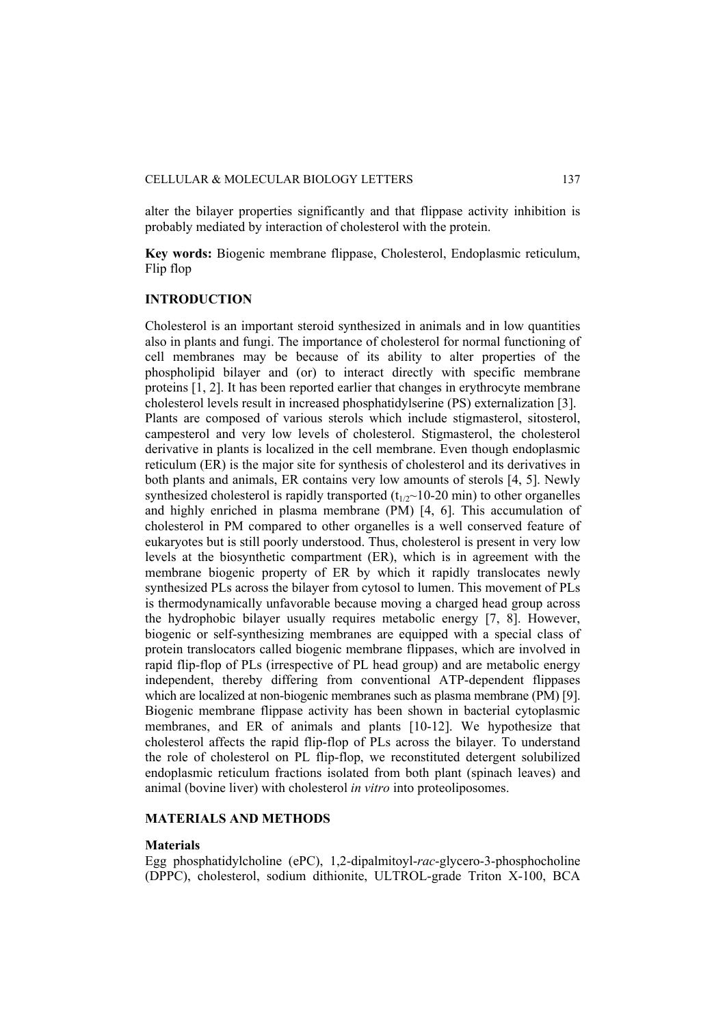alter the bilayer properties significantly and that flippase activity inhibition is probably mediated by interaction of cholesterol with the protein.

**Key words:** Biogenic membrane flippase, Cholesterol, Endoplasmic reticulum, Flip flop

# **INTRODUCTION**

Cholesterol is an important steroid synthesized in animals and in low quantities also in plants and fungi. The importance of cholesterol for normal functioning of cell membranes may be because of its ability to alter properties of the phospholipid bilayer and (or) to interact directly with specific membrane proteins [1, 2]. It has been reported earlier that changes in erythrocyte membrane cholesterol levels result in increased phosphatidylserine (PS) externalization [3]. Plants are composed of various sterols which include stigmasterol, sitosterol, campesterol and very low levels of cholesterol. Stigmasterol, the cholesterol derivative in plants is localized in the cell membrane. Even though endoplasmic reticulum (ER) is the major site for synthesis of cholesterol and its derivatives in both plants and animals, ER contains very low amounts of sterols [4, 5]. Newly synthesized cholesterol is rapidly transported  $(t_{1/2}$ ~10-20 min) to other organelles and highly enriched in plasma membrane (PM) [4, 6]. This accumulation of cholesterol in PM compared to other organelles is a well conserved feature of eukaryotes but is still poorly understood. Thus, cholesterol is present in very low levels at the biosynthetic compartment (ER), which is in agreement with the membrane biogenic property of ER by which it rapidly translocates newly synthesized PLs across the bilayer from cytosol to lumen. This movement of PLs is thermodynamically unfavorable because moving a charged head group across the hydrophobic bilayer usually requires metabolic energy [7, 8]. However, biogenic or self-synthesizing membranes are equipped with a special class of protein translocators called biogenic membrane flippases, which are involved in rapid flip-flop of PLs (irrespective of PL head group) and are metabolic energy independent, thereby differing from conventional ATP-dependent flippases which are localized at non-biogenic membranes such as plasma membrane (PM) [9]. Biogenic membrane flippase activity has been shown in bacterial cytoplasmic membranes, and ER of animals and plants [10-12]. We hypothesize that cholesterol affects the rapid flip-flop of PLs across the bilayer. To understand the role of cholesterol on PL flip-flop, we reconstituted detergent solubilized endoplasmic reticulum fractions isolated from both plant (spinach leaves) and animal (bovine liver) with cholesterol *in vitro* into proteoliposomes.

# **MATERIALS AND METHODS**

## **Materials**

Egg phosphatidylcholine (ePC), 1,2-dipalmitoyl-*rac*-glycero-3-phosphocholine (DPPC), cholesterol, sodium dithionite, ULTROL-grade Triton X-100, BCA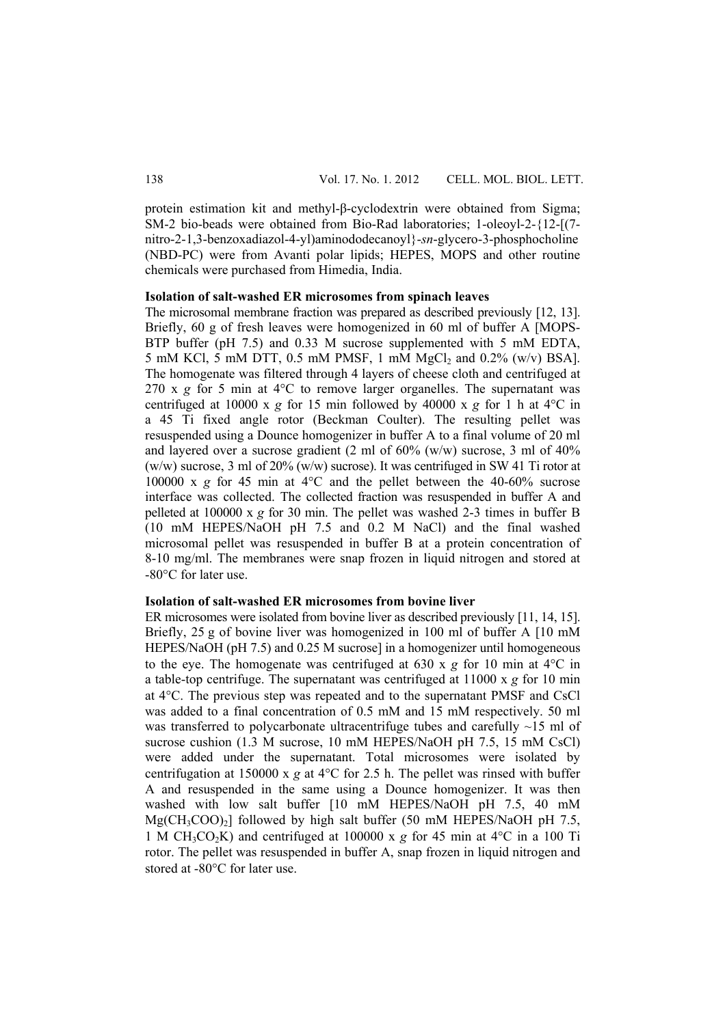protein estimation kit and methyl-β-cyclodextrin were obtained from Sigma; SM-2 bio-beads were obtained from Bio-Rad laboratories; 1-oleoyl-2-{12-[(7 nitro-2-1,3-benzoxadiazol-4-yl)aminododecanoyl}-*sn*-glycero-3-phosphocholine (NBD-PC) were from Avanti polar lipids; HEPES, MOPS and other routine chemicals were purchased from Himedia, India.

#### **Isolation of salt-washed ER microsomes from spinach leaves**

The microsomal membrane fraction was prepared as described previously [12, 13]. Briefly, 60 g of fresh leaves were homogenized in 60 ml of buffer A [MOPS-BTP buffer (pH 7.5) and 0.33 M sucrose supplemented with 5 mM EDTA, 5 mM KCl, 5 mM DTT, 0.5 mM PMSF, 1 mM MgCl<sub>2</sub> and 0.2% (w/v) BSA]. The homogenate was filtered through 4 layers of cheese cloth and centrifuged at 270 x  $g$  for 5 min at  $4^{\circ}$ C to remove larger organelles. The supernatant was centrifuged at 10000 x *g* for 15 min followed by 40000 x *g* for 1 h at 4°C in a 45 Ti fixed angle rotor (Beckman Coulter). The resulting pellet was resuspended using a Dounce homogenizer in buffer A to a final volume of 20 ml and layered over a sucrose gradient  $(2 \text{ ml of } 60\%$  (w/w) sucrose, 3 ml of 40%  $(w/w)$  sucrose, 3 ml of 20%  $(w/w)$  sucrose). It was centrifuged in SW 41 Ti rotor at 100000 x *g* for 45 min at 4°C and the pellet between the 40-60% sucrose interface was collected. The collected fraction was resuspended in buffer A and pelleted at 100000 x *g* for 30 min. The pellet was washed 2-3 times in buffer B (10 mM HEPES/NaOH pH 7.5 and 0.2 M NaCl) and the final washed microsomal pellet was resuspended in buffer B at a protein concentration of 8-10 mg/ml. The membranes were snap frozen in liquid nitrogen and stored at -80°C for later use.

## **Isolation of salt-washed ER microsomes from bovine liver**

ER microsomes were isolated from bovine liver as described previously [11, 14, 15]. Briefly, 25 g of bovine liver was homogenized in 100 ml of buffer A [10 mM] HEPES/NaOH (pH 7.5) and 0.25 M sucrosel in a homogenizer until homogeneous to the eye. The homogenate was centrifuged at 630 x *g* for 10 min at 4°C in a table-top centrifuge. The supernatant was centrifuged at 11000 x *g* for 10 min at 4°C. The previous step was repeated and to the supernatant PMSF and CsCl was added to a final concentration of 0.5 mM and 15 mM respectively. 50 ml was transferred to polycarbonate ultracentrifuge tubes and carefully  $\sim$ 15 ml of sucrose cushion (1.3 M sucrose, 10 mM HEPES/NaOH pH 7.5, 15 mM CsCl) were added under the supernatant. Total microsomes were isolated by centrifugation at 150000 x *g* at 4°C for 2.5 h. The pellet was rinsed with buffer A and resuspended in the same using a Dounce homogenizer. It was then washed with low salt buffer [10 mM HEPES/NaOH pH 7.5, 40 mM  $Mg(CH_3COO)_2$ ] followed by high salt buffer (50 mM HEPES/NaOH pH 7.5, 1 M CH<sub>3</sub>CO<sub>2</sub>K) and centrifuged at 100000 x  $g$  for 45 min at 4<sup>o</sup>C in a 100 Ti rotor. The pellet was resuspended in buffer A, snap frozen in liquid nitrogen and stored at -80°C for later use.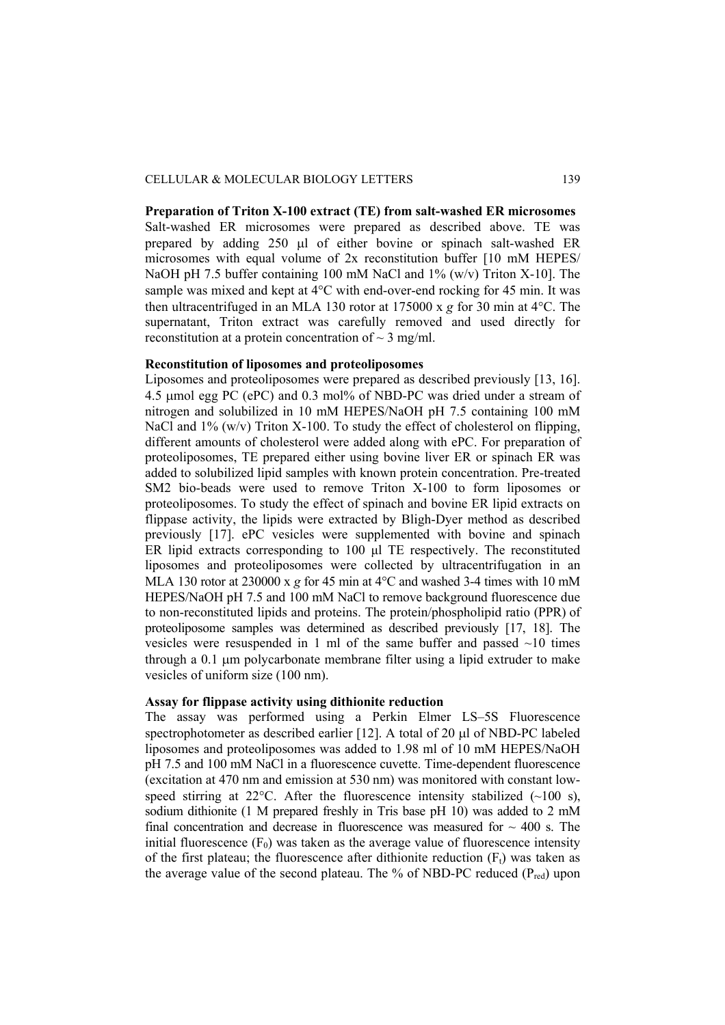**Preparation of Triton X-100 extract (TE) from salt-washed ER microsomes**  Salt-washed ER microsomes were prepared as described above. TE was prepared by adding 250 μl of either bovine or spinach salt-washed ER microsomes with equal volume of 2x reconstitution buffer [10 mM HEPES/ NaOH pH 7.5 buffer containing 100 mM NaCl and 1% (w/v) Triton X-10]. The sample was mixed and kept at 4°C with end-over-end rocking for 45 min. It was then ultracentrifuged in an MLA 130 rotor at 175000 x *g* for 30 min at 4°C. The supernatant, Triton extract was carefully removed and used directly for reconstitution at a protein concentration of  $\sim$  3 mg/ml.

#### **Reconstitution of liposomes and proteoliposomes**

Liposomes and proteoliposomes were prepared as described previously [13, 16]. 4.5 μmol egg PC (ePC) and 0.3 mol% of NBD-PC was dried under a stream of nitrogen and solubilized in 10 mM HEPES/NaOH pH 7.5 containing 100 mM NaCl and  $1\%$  (w/v) Triton X-100. To study the effect of cholesterol on flipping, different amounts of cholesterol were added along with ePC. For preparation of proteoliposomes, TE prepared either using bovine liver ER or spinach ER was added to solubilized lipid samples with known protein concentration. Pre-treated SM2 bio-beads were used to remove Triton X-100 to form liposomes or proteoliposomes. To study the effect of spinach and bovine ER lipid extracts on flippase activity, the lipids were extracted by Bligh-Dyer method as described previously [17]. ePC vesicles were supplemented with bovine and spinach ER lipid extracts corresponding to 100 μl TE respectively. The reconstituted liposomes and proteoliposomes were collected by ultracentrifugation in an MLA 130 rotor at 230000 x *g* for 45 min at 4°C and washed 3-4 times with 10 mM HEPES/NaOH pH 7.5 and 100 mM NaCl to remove background fluorescence due to non-reconstituted lipids and proteins. The protein/phospholipid ratio (PPR) of proteoliposome samples was determined as described previously [17, 18]. The vesicles were resuspended in 1 ml of the same buffer and passed  $\sim$ 10 times through a 0.1 μm polycarbonate membrane filter using a lipid extruder to make vesicles of uniform size (100 nm).

## **Assay for flippase activity using dithionite reduction**

The assay was performed using a Perkin Elmer LS–5S Fluorescence spectrophotometer as described earlier [12]. A total of 20 μl of NBD-PC labeled liposomes and proteoliposomes was added to 1.98 ml of 10 mM HEPES/NaOH pH 7.5 and 100 mM NaCl in a fluorescence cuvette. Time-dependent fluorescence (excitation at 470 nm and emission at 530 nm) was monitored with constant lowspeed stirring at 22 $^{\circ}$ C. After the fluorescence intensity stabilized (~100 s), sodium dithionite (1 M prepared freshly in Tris base pH 10) was added to 2 mM final concentration and decrease in fluorescence was measured for  $\sim$  400 s. The initial fluorescence  $(F_0)$  was taken as the average value of fluorescence intensity of the first plateau; the fluorescence after dithionite reduction  $(F_t)$  was taken as the average value of the second plateau. The % of NBD-PC reduced  $(P_{red})$  upon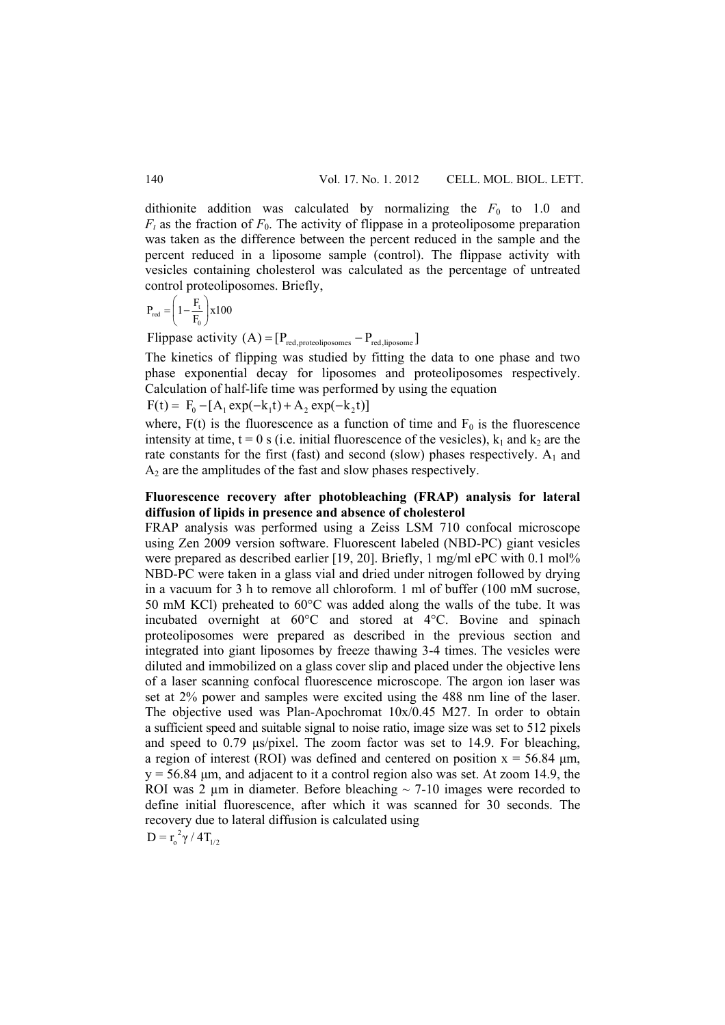dithionite addition was calculated by normalizing the  $F_0$  to 1.0 and  $F_t$  as the fraction of  $F_0$ . The activity of flippase in a proteoliposome preparation was taken as the difference between the percent reduced in the sample and the percent reduced in a liposome sample (control). The flippase activity with vesicles containing cholesterol was calculated as the percentage of untreated control proteoliposomes. Briefly,

$$
P_{\text{red}} = \left(1 - \frac{F_{\text{t}}}{F_{\text{0}}}\right) \times 100
$$

Flippase activity  $(A) = [P_{red, proteoliposomes} - P_{red,liposome}]$ 

The kinetics of flipping was studied by fitting the data to one phase and two phase exponential decay for liposomes and proteoliposomes respectively. Calculation of half-life time was performed by using the equation

 $F(t) = F_0 - [A_1 \exp(-k_1 t) + A_2 \exp(-k_2 t)]$ 

where,  $F(t)$  is the fluorescence as a function of time and  $F_0$  is the fluorescence intensity at time,  $t = 0$  s (i.e. initial fluorescence of the vesicles),  $k_1$  and  $k_2$  are the rate constants for the first (fast) and second (slow) phases respectively.  $A_1$  and  $A_2$  are the amplitudes of the fast and slow phases respectively.

# **Fluorescence recovery after photobleaching (FRAP) analysis for lateral diffusion of lipids in presence and absence of cholesterol**

FRAP analysis was performed using a Zeiss LSM 710 confocal microscope using Zen 2009 version software. Fluorescent labeled (NBD-PC) giant vesicles were prepared as described earlier [19, 20]. Briefly, 1 mg/ml ePC with 0.1 mol% NBD-PC were taken in a glass vial and dried under nitrogen followed by drying in a vacuum for 3 h to remove all chloroform. 1 ml of buffer (100 mM sucrose, 50 mM KCl) preheated to 60°C was added along the walls of the tube. It was incubated overnight at 60°C and stored at 4°C. Bovine and spinach proteoliposomes were prepared as described in the previous section and integrated into giant liposomes by freeze thawing 3-4 times. The vesicles were diluted and immobilized on a glass cover slip and placed under the objective lens of a laser scanning confocal fluorescence microscope. The argon ion laser was set at 2% power and samples were excited using the 488 nm line of the laser. The objective used was Plan-Apochromat 10x/0.45 M27. In order to obtain a sufficient speed and suitable signal to noise ratio, image size was set to 512 pixels and speed to 0.79 μs/pixel. The zoom factor was set to 14.9. For bleaching, a region of interest (ROI) was defined and centered on position  $x = 56.84 \mu m$ ,  $y = 56.84 \mu m$ , and adjacent to it a control region also was set. At zoom 14.9, the ROI was 2  $\mu$ m in diameter. Before bleaching  $\sim$  7-10 images were recorded to define initial fluorescence, after which it was scanned for 30 seconds. The recovery due to lateral diffusion is calculated using  $D = r_0^2 \gamma / 4T_{1/2}$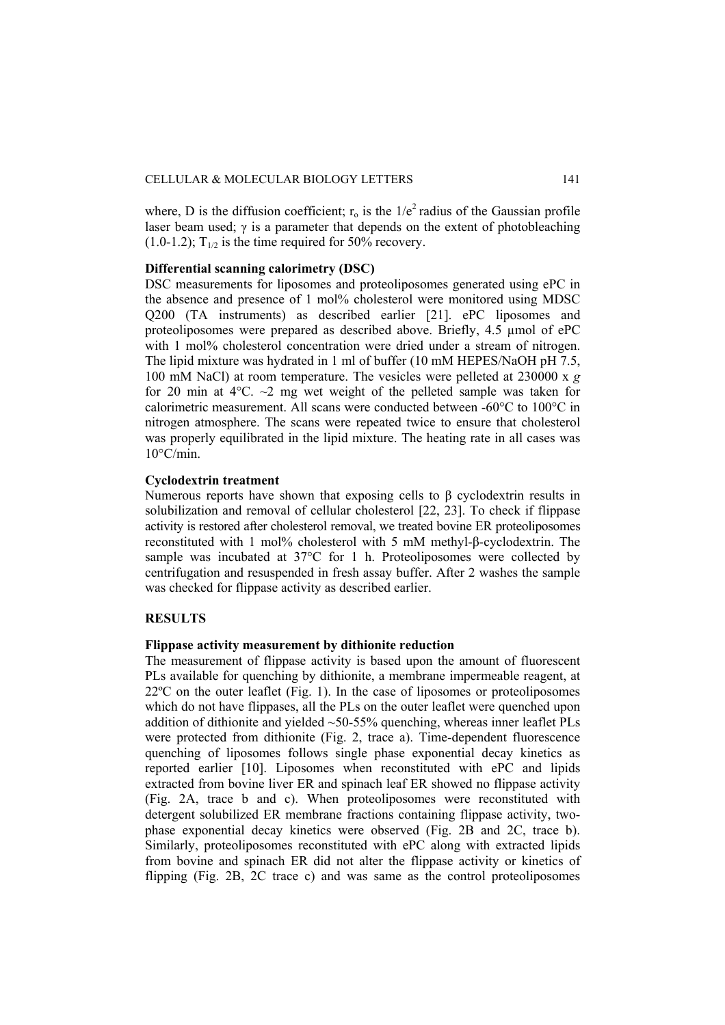where. D is the diffusion coefficient;  $r_0$  is the  $1/e^2$  radius of the Gaussian profile laser beam used;  $\gamma$  is a parameter that depends on the extent of photobleaching  $(1.0-1.2)$ ; T<sub>1/2</sub> is the time required for 50% recovery.

## **Differential scanning calorimetry (DSC)**

DSC measurements for liposomes and proteoliposomes generated using ePC in the absence and presence of 1 mol% cholesterol were monitored using MDSC Q200 (TA instruments) as described earlier [21]. ePC liposomes and proteoliposomes were prepared as described above. Briefly, 4.5 µmol of ePC with 1 mol% cholesterol concentration were dried under a stream of nitrogen. The lipid mixture was hydrated in 1 ml of buffer (10 mM HEPES/NaOH pH 7.5, 100 mM NaCl) at room temperature. The vesicles were pelleted at 230000 x *g*  for 20 min at  $4^{\circ}$ C.  $\sim$ 2 mg wet weight of the pelleted sample was taken for calorimetric measurement. All scans were conducted between -60°C to 100°C in nitrogen atmosphere. The scans were repeated twice to ensure that cholesterol was properly equilibrated in the lipid mixture. The heating rate in all cases was  $10^{\circ}$ C/min.

### **Cyclodextrin treatment**

Numerous reports have shown that exposing cells to β cyclodextrin results in solubilization and removal of cellular cholesterol [22, 23]. To check if flippase activity is restored after cholesterol removal, we treated bovine ER proteoliposomes reconstituted with 1 mol% cholesterol with 5 mM methyl-β-cyclodextrin. The sample was incubated at 37°C for 1 h. Proteoliposomes were collected by centrifugation and resuspended in fresh assay buffer. After 2 washes the sample was checked for flippase activity as described earlier.

# **RESULTS**

# **Flippase activity measurement by dithionite reduction**

The measurement of flippase activity is based upon the amount of fluorescent PLs available for quenching by dithionite, a membrane impermeable reagent, at 22ºC on the outer leaflet (Fig. 1). In the case of liposomes or proteoliposomes which do not have flippases, all the PLs on the outer leaflet were quenched upon addition of dithionite and yielded  $\sim$  50-55% quenching, whereas inner leaflet PLs were protected from dithionite (Fig. 2, trace a). Time-dependent fluorescence quenching of liposomes follows single phase exponential decay kinetics as reported earlier [10]. Liposomes when reconstituted with ePC and lipids extracted from bovine liver ER and spinach leaf ER showed no flippase activity (Fig. 2A, trace b and c). When proteoliposomes were reconstituted with detergent solubilized ER membrane fractions containing flippase activity, twophase exponential decay kinetics were observed (Fig. 2B and 2C, trace b). Similarly, proteoliposomes reconstituted with ePC along with extracted lipids from bovine and spinach ER did not alter the flippase activity or kinetics of flipping (Fig. 2B, 2C trace c) and was same as the control proteoliposomes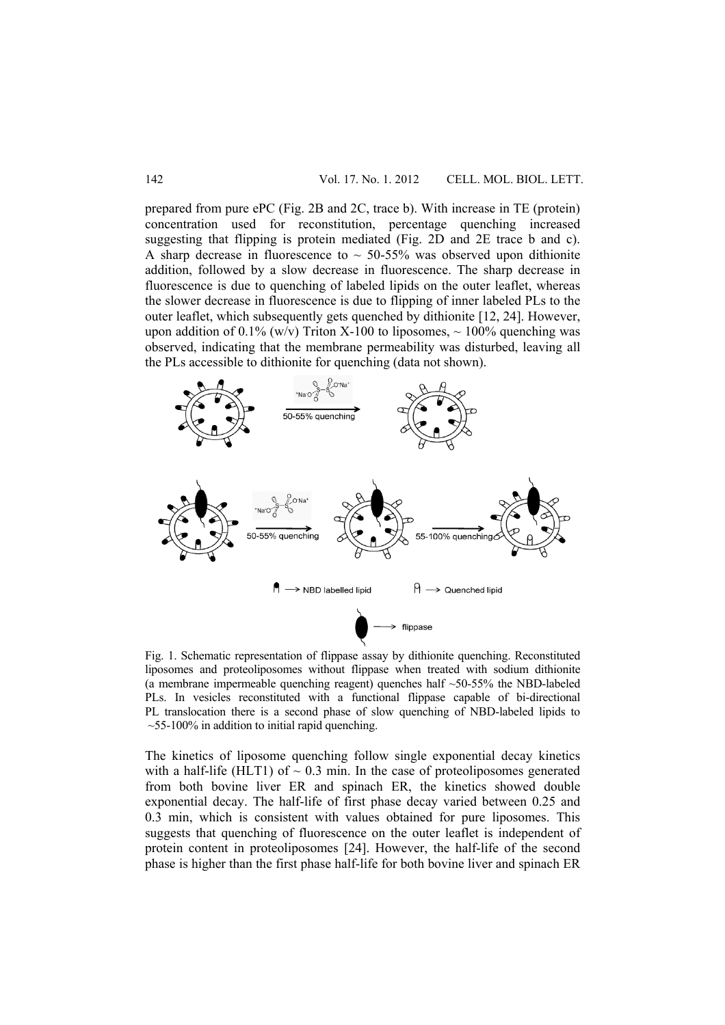prepared from pure ePC (Fig. 2B and 2C, trace b). With increase in TE (protein) concentration used for reconstitution, percentage quenching increased suggesting that flipping is protein mediated (Fig. 2D and 2E trace b and c). A sharp decrease in fluorescence to  $\sim$  50-55% was observed upon dithionite addition, followed by a slow decrease in fluorescence. The sharp decrease in fluorescence is due to quenching of labeled lipids on the outer leaflet, whereas the slower decrease in fluorescence is due to flipping of inner labeled PLs to the outer leaflet, which subsequently gets quenched by dithionite [12, 24]. However, upon addition of 0.1% (w/v) Triton X-100 to liposomes,  $\sim$  100% quenching was observed, indicating that the membrane permeability was disturbed, leaving all the PLs accessible to dithionite for quenching (data not shown).



Fig. 1. Schematic representation of flippase assay by dithionite quenching. Reconstituted liposomes and proteoliposomes without flippase when treated with sodium dithionite (a membrane impermeable quenching reagent) quenches half ~50-55% the NBD-labeled PLs. In vesicles reconstituted with a functional flippase capable of bi-directional PL translocation there is a second phase of slow quenching of NBD-labeled lipids to  $\sim$ 55-100% in addition to initial rapid quenching.

The kinetics of liposome quenching follow single exponential decay kinetics with a half-life (HLT1) of  $\sim 0.3$  min. In the case of proteoliposomes generated from both bovine liver ER and spinach ER, the kinetics showed double exponential decay. The half-life of first phase decay varied between 0.25 and 0.3 min, which is consistent with values obtained for pure liposomes. This suggests that quenching of fluorescence on the outer leaflet is independent of protein content in proteoliposomes [24]. However, the half-life of the second phase is higher than the first phase half-life for both bovine liver and spinach ER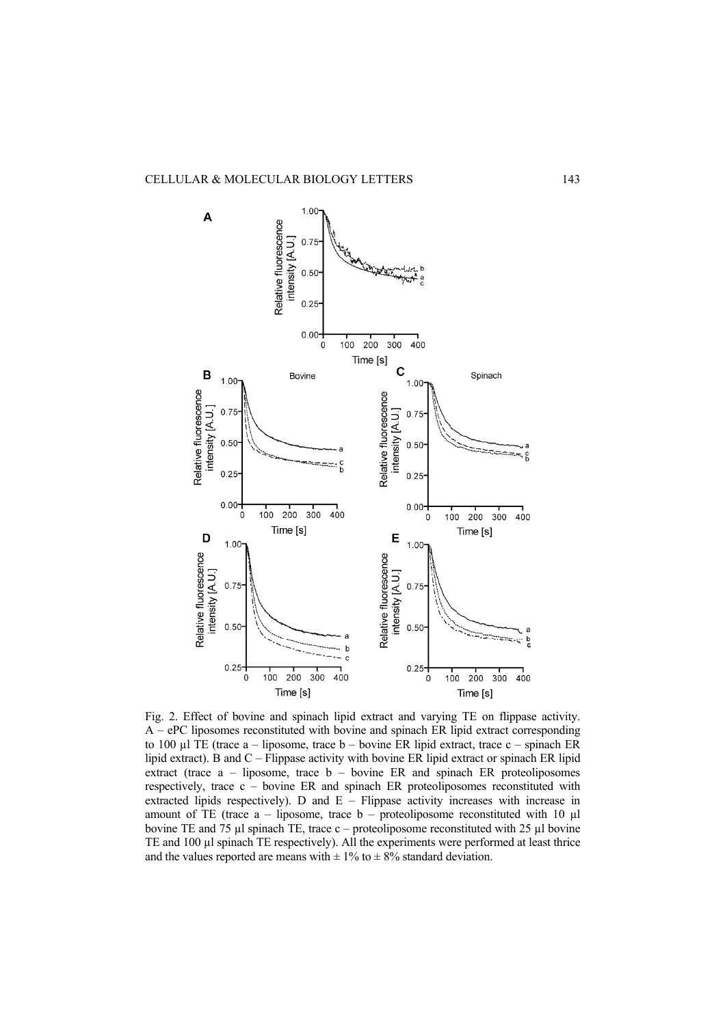

Fig. 2. Effect of bovine and spinach lipid extract and varying TE on flippase activity. A – ePC liposomes reconstituted with bovine and spinach ER lipid extract corresponding to 100 µl TE (trace a – liposome, trace b – bovine ER lipid extract, trace c – spinach ER lipid extract). B and C – Flippase activity with bovine ER lipid extract or spinach ER lipid extract (trace  $a$  – liposome, trace  $b$  – bovine ER and spinach ER proteoliposomes respectively, trace c – bovine ER and spinach ER proteoliposomes reconstituted with extracted lipids respectively). D and E – Flippase activity increases with increase in amount of TE (trace  $a$  – liposome, trace  $b$  – proteoliposome reconstituted with 10  $\mu$ l bovine TE and 75  $\mu$ l spinach TE, trace c – proteoliposome reconstituted with 25  $\mu$ l bovine TE and 100 µl spinach TE respectively). All the experiments were performed at least thrice and the values reported are means with  $\pm$  1% to  $\pm$  8% standard deviation.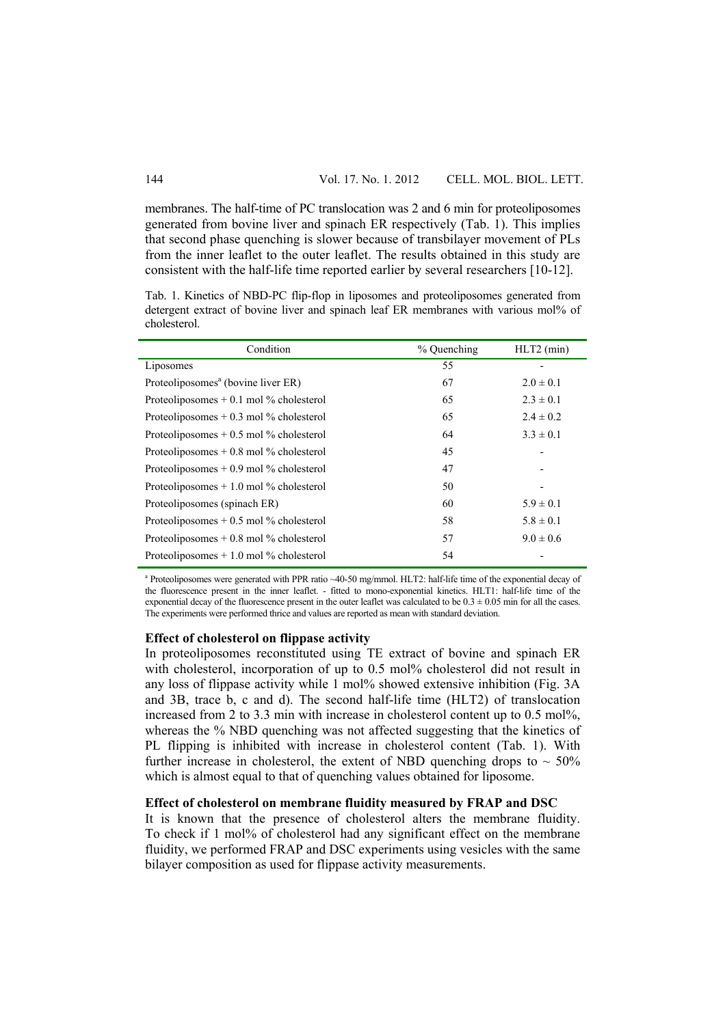membranes. The half-time of PC translocation was 2 and 6 min for proteoliposomes generated from bovine liver and spinach ER respectively (Tab. 1). This implies that second phase quenching is slower because of transbilayer movement of PLs from the inner leaflet to the outer leaflet. The results obtained in this study are consistent with the half-life time reported earlier by several researchers [10-12].

Tab. 1. Kinetics of NBD-PC flip-flop in liposomes and proteoliposomes generated from detergent extract of bovine liver and spinach leaf ER membranes with various mol% of cholesterol.

| Condition                                      | % Quenching | $HLT2$ (min)  |
|------------------------------------------------|-------------|---------------|
| Liposomes                                      | 55          |               |
| Proteoliposomes <sup>a</sup> (bovine liver ER) | 67          | $2.0 \pm 0.1$ |
| Proteoliposomes $+$ 0.1 mol % cholesterol      | 65          | $2.3 \pm 0.1$ |
| Proteoliposomes $+$ 0.3 mol % cholesterol      | 65          | $2.4 \pm 0.2$ |
| Proteoliposomes $+0.5$ mol % cholesterol       | 64          | $3.3 \pm 0.1$ |
| Proteoliposomes $+0.8$ mol % cholesterol       | 45          |               |
| Proteoliposomes $+0.9$ mol % cholesterol       | 47          |               |
| Proteoliposomes $+1.0$ mol % cholesterol       | 50          |               |
| Proteoliposomes (spinach ER)                   | 60          | $5.9 \pm 0.1$ |
| Proteoliposomes $+0.5$ mol % cholesterol       | 58          | $5.8 \pm 0.1$ |
| Proteoliposomes $+0.8$ mol % cholesterol       | 57          | $9.0 \pm 0.6$ |
| Proteoliposomes $+1.0$ mol % cholesterol       | 54          |               |

<sup>a</sup> Proteoliposomes were generated with PPR ratio ~40-50 mg/mmol. HLT2: half-life time of the exponential decay of the fluorescence present in the inner leaflet. - fitted to mono-exponential kinetics. HLT1: half-life time of the exponential decay of the fluorescence present in the outer leaflet was calculated to be  $0.3 \pm 0.05$  min for all the cases. The experiments were performed thrice and values are reported as mean with standard deviation.

#### **Effect of cholesterol on flippase activity**

In proteoliposomes reconstituted using TE extract of bovine and spinach ER with cholesterol, incorporation of up to 0.5 mol% cholesterol did not result in any loss of flippase activity while 1 mol% showed extensive inhibition (Fig. 3A and 3B, trace b, c and d). The second half-life time (HLT2) of translocation increased from 2 to 3.3 min with increase in cholesterol content up to 0.5 mol%, whereas the % NBD quenching was not affected suggesting that the kinetics of PL flipping is inhibited with increase in cholesterol content (Tab. 1). With further increase in cholesterol, the extent of NBD quenching drops to  $\sim$  50% which is almost equal to that of quenching values obtained for liposome.

#### **Effect of cholesterol on membrane fluidity measured by FRAP and DSC**

It is known that the presence of cholesterol alters the membrane fluidity. To check if 1 mol% of cholesterol had any significant effect on the membrane fluidity, we performed FRAP and DSC experiments using vesicles with the same bilayer composition as used for flippase activity measurements.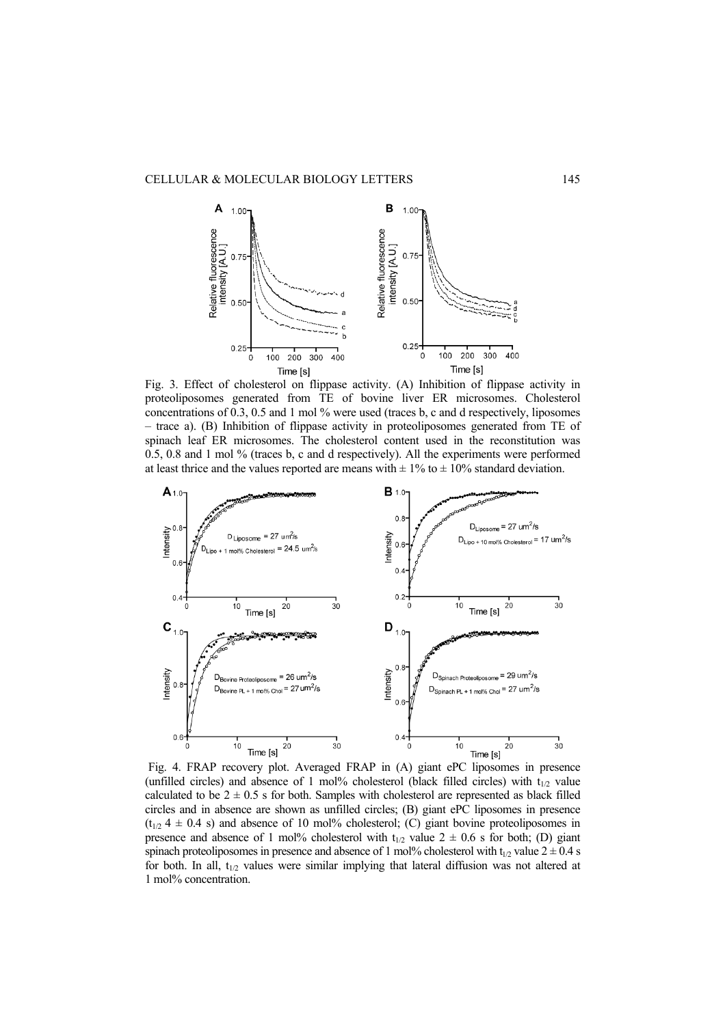

Fig. 3. Effect of cholesterol on flippase activity. (A) Inhibition of flippase activity in proteoliposomes generated from TE of bovine liver ER microsomes. Cholesterol concentrations of 0.3, 0.5 and 1 mol % were used (traces b, c and d respectively, liposomes – trace a). (B) Inhibition of flippase activity in proteoliposomes generated from TE of spinach leaf ER microsomes. The cholesterol content used in the reconstitution was 0.5, 0.8 and 1 mol % (traces b, c and d respectively). All the experiments were performed at least thrice and the values reported are means with  $\pm$  1% to  $\pm$  10% standard deviation.



Fig. 4. FRAP recovery plot. Averaged FRAP in (A) giant ePC liposomes in presence (unfilled circles) and absence of 1 mol% cholesterol (black filled circles) with  $t_{1/2}$  value calculated to be  $2 \pm 0.5$  s for both. Samples with cholesterol are represented as black filled circles and in absence are shown as unfilled circles; (B) giant ePC liposomes in presence  $(t_{1/2}$  4  $\pm$  0.4 s) and absence of 10 mol% cholesterol; (C) giant bovine proteoliposomes in presence and absence of 1 mol% cholesterol with  $t_{1/2}$  value  $2 \pm 0.6$  s for both; (D) giant spinach proteoliposomes in presence and absence of 1 mol% cholesterol with  $t_{1/2}$  value  $2 \pm 0.4$  s for both. In all,  $t_{1/2}$  values were similar implying that lateral diffusion was not altered at 1 mol% concentration.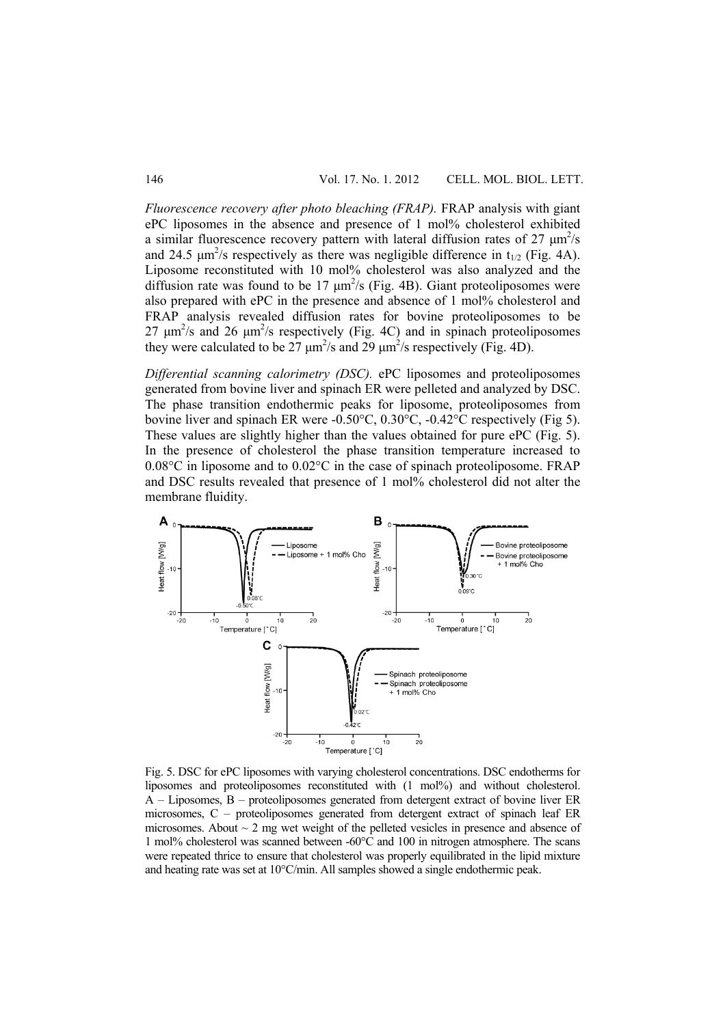*Fluorescence recovery after photo bleaching (FRAP).* FRAP analysis with giant ePC liposomes in the absence and presence of 1 mol% cholesterol exhibited a similar fluorescence recovery pattern with lateral diffusion rates of  $27 \mu m^2/s$ and 24.5  $\mu$ m<sup>2</sup>/s respectively as there was negligible difference in t<sub>1/2</sub> (Fig. 4A). Liposome reconstituted with 10 mol% cholesterol was also analyzed and the diffusion rate was found to be  $17 \mu m^2$ /s (Fig. 4B). Giant proteoliposomes were also prepared with ePC in the presence and absence of 1 mol% cholesterol and FRAP analysis revealed diffusion rates for bovine proteoliposomes to be  $27 \mu m^2$ /s and  $26 \mu m^2$ /s respectively (Fig. 4C) and in spinach proteoliposomes they were calculated to be  $27 \mu m^2/s$  and  $29 \mu m^2/s$  respectively (Fig. 4D).

*Differential scanning calorimetry (DSC).* ePC liposomes and proteoliposomes generated from bovine liver and spinach ER were pelleted and analyzed by DSC. The phase transition endothermic peaks for liposome, proteoliposomes from bovine liver and spinach ER were -0.50°C, 0.30°C, -0.42°C respectively (Fig 5). These values are slightly higher than the values obtained for pure ePC (Fig. 5). In the presence of cholesterol the phase transition temperature increased to 0.08°C in liposome and to 0.02°C in the case of spinach proteoliposome. FRAP and DSC results revealed that presence of 1 mol% cholesterol did not alter the membrane fluidity.



Fig. 5. DSC for ePC liposomes with varying cholesterol concentrations. DSC endotherms for liposomes and proteoliposomes reconstituted with (1 mol%) and without cholesterol. A – Liposomes, B – proteoliposomes generated from detergent extract of bovine liver ER microsomes, C – proteoliposomes generated from detergent extract of spinach leaf ER microsomes. About  $\sim$  2 mg wet weight of the pelleted vesicles in presence and absence of 1 mol% cholesterol was scanned between -60°C and 100 in nitrogen atmosphere. The scans were repeated thrice to ensure that cholesterol was properly equilibrated in the lipid mixture and heating rate was set at 10°C/min. All samples showed a single endothermic peak.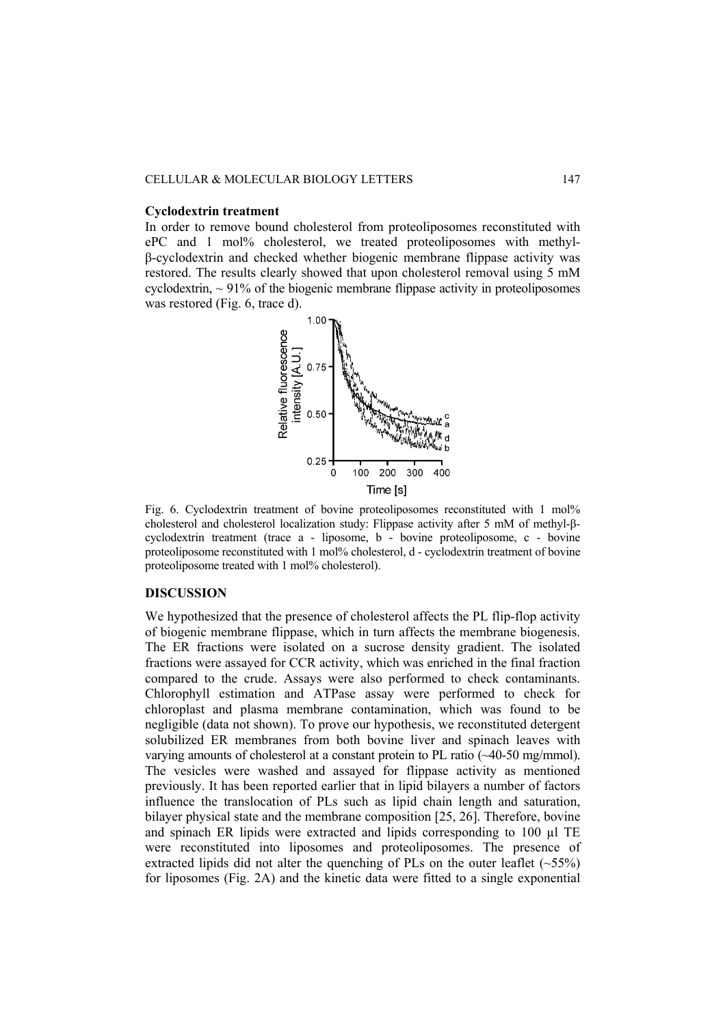#### **Cyclodextrin treatment**

In order to remove bound cholesterol from proteoliposomes reconstituted with ePC and 1 mol% cholesterol, we treated proteoliposomes with methylβ-cyclodextrin and checked whether biogenic membrane flippase activity was restored. The results clearly showed that upon cholesterol removal using 5 mM cyclodextrin,  $\sim$  91% of the biogenic membrane flippase activity in proteoliposomes was restored (Fig. 6, trace d).



Fig. 6. Cyclodextrin treatment of bovine proteoliposomes reconstituted with 1 mol% cholesterol and cholesterol localization study: Flippase activity after 5 mM of methyl-βcyclodextrin treatment (trace a - liposome, b - bovine proteoliposome, c - bovine proteoliposome reconstituted with 1 mol% cholesterol, d - cyclodextrin treatment of bovine proteoliposome treated with 1 mol% cholesterol).

## **DISCUSSION**

We hypothesized that the presence of cholesterol affects the PL flip-flop activity of biogenic membrane flippase, which in turn affects the membrane biogenesis. The ER fractions were isolated on a sucrose density gradient. The isolated fractions were assayed for CCR activity, which was enriched in the final fraction compared to the crude. Assays were also performed to check contaminants. Chlorophyll estimation and ATPase assay were performed to check for chloroplast and plasma membrane contamination, which was found to be negligible (data not shown). To prove our hypothesis, we reconstituted detergent solubilized ER membranes from both bovine liver and spinach leaves with varying amounts of cholesterol at a constant protein to PL ratio (~40-50 mg/mmol). The vesicles were washed and assayed for flippase activity as mentioned previously. It has been reported earlier that in lipid bilayers a number of factors influence the translocation of PLs such as lipid chain length and saturation, bilayer physical state and the membrane composition [25, 26]. Therefore, bovine and spinach ER lipids were extracted and lipids corresponding to 100 µl TE were reconstituted into liposomes and proteoliposomes. The presence of extracted lipids did not alter the quenching of PLs on the outer leaflet  $(-55%)$ for liposomes (Fig. 2A) and the kinetic data were fitted to a single exponential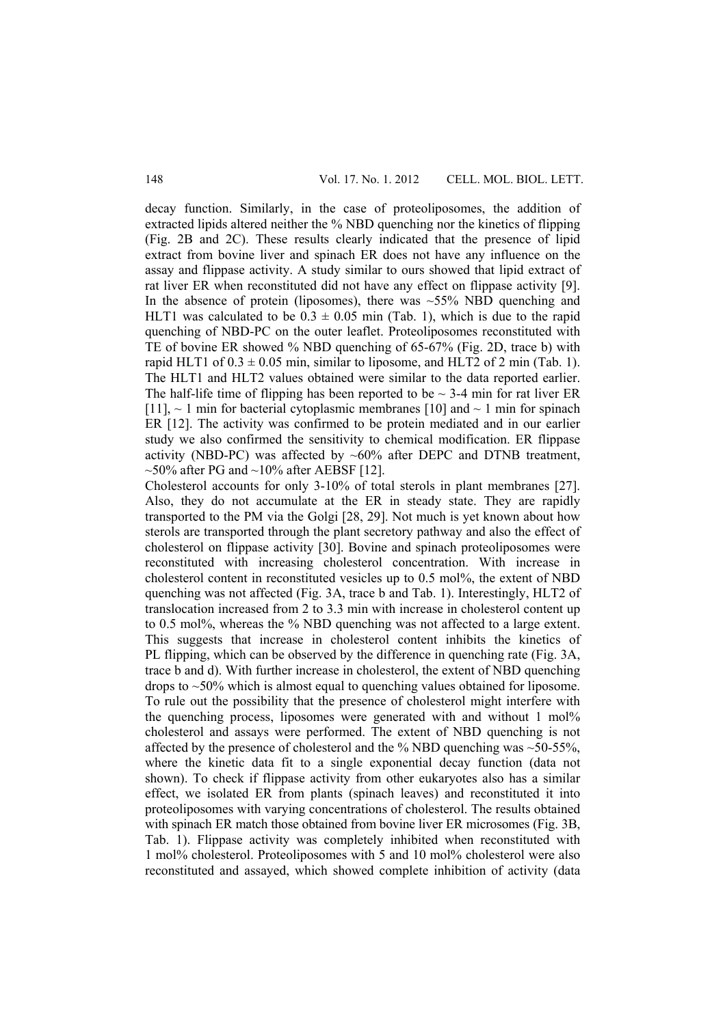decay function. Similarly, in the case of proteoliposomes, the addition of extracted lipids altered neither the % NBD quenching nor the kinetics of flipping (Fig. 2B and 2C). These results clearly indicated that the presence of lipid extract from bovine liver and spinach ER does not have any influence on the assay and flippase activity. A study similar to ours showed that lipid extract of rat liver ER when reconstituted did not have any effect on flippase activity [9]. In the absence of protein (liposomes), there was  $\sim$ 55% NBD quenching and HLT1 was calculated to be  $0.3 \pm 0.05$  min (Tab. 1), which is due to the rapid quenching of NBD-PC on the outer leaflet. Proteoliposomes reconstituted with TE of bovine ER showed % NBD quenching of 65-67% (Fig. 2D, trace b) with rapid HLT1 of  $0.3 \pm 0.05$  min, similar to liposome, and HLT2 of 2 min (Tab. 1). The HLT1 and HLT2 values obtained were similar to the data reported earlier. The half-life time of flipping has been reported to be  $\sim$  3-4 min for rat liver ER [11],  $\sim$  1 min for bacterial cytoplasmic membranes [10] and  $\sim$  1 min for spinach ER [12]. The activity was confirmed to be protein mediated and in our earlier study we also confirmed the sensitivity to chemical modification. ER flippase activity (NBD-PC) was affected by  $~60\%$  after DEPC and DTNB treatment,  $\sim$ 50% after PG and  $\sim$ 10% after AEBSF [12].

Cholesterol accounts for only 3-10% of total sterols in plant membranes [27]. Also, they do not accumulate at the ER in steady state. They are rapidly transported to the PM via the Golgi [28, 29]. Not much is yet known about how sterols are transported through the plant secretory pathway and also the effect of cholesterol on flippase activity [30]. Bovine and spinach proteoliposomes were reconstituted with increasing cholesterol concentration. With increase in cholesterol content in reconstituted vesicles up to 0.5 mol%, the extent of NBD quenching was not affected (Fig. 3A, trace b and Tab. 1). Interestingly, HLT2 of translocation increased from 2 to 3.3 min with increase in cholesterol content up to 0.5 mol%, whereas the % NBD quenching was not affected to a large extent. This suggests that increase in cholesterol content inhibits the kinetics of PL flipping, which can be observed by the difference in quenching rate (Fig. 3A, trace b and d). With further increase in cholesterol, the extent of NBD quenching drops to ~50% which is almost equal to quenching values obtained for liposome. To rule out the possibility that the presence of cholesterol might interfere with the quenching process, liposomes were generated with and without 1 mol% cholesterol and assays were performed. The extent of NBD quenching is not affected by the presence of cholesterol and the  $\%$  NBD quenching was  $\sim$ 50-55%, where the kinetic data fit to a single exponential decay function (data not shown). To check if flippase activity from other eukaryotes also has a similar effect, we isolated ER from plants (spinach leaves) and reconstituted it into proteoliposomes with varying concentrations of cholesterol. The results obtained with spinach ER match those obtained from bovine liver ER microsomes (Fig. 3B, Tab. 1). Flippase activity was completely inhibited when reconstituted with 1 mol% cholesterol. Proteoliposomes with 5 and 10 mol% cholesterol were also reconstituted and assayed, which showed complete inhibition of activity (data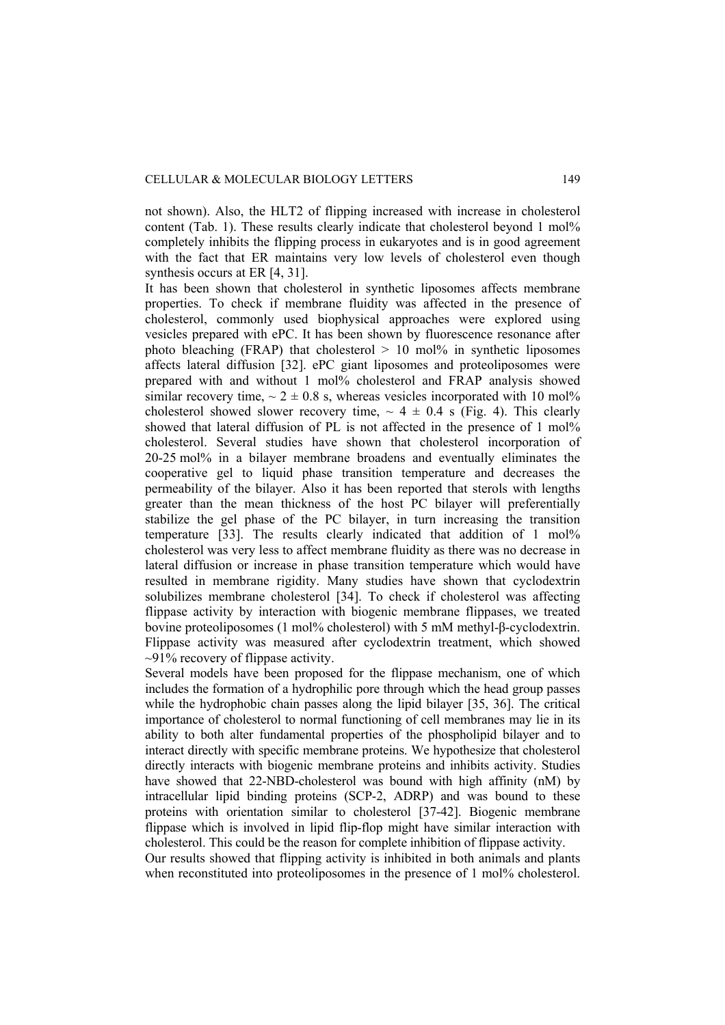not shown). Also, the HLT2 of flipping increased with increase in cholesterol content (Tab. 1). These results clearly indicate that cholesterol beyond 1 mol% completely inhibits the flipping process in eukaryotes and is in good agreement with the fact that ER maintains very low levels of cholesterol even though synthesis occurs at ER [4, 31].

It has been shown that cholesterol in synthetic liposomes affects membrane properties. To check if membrane fluidity was affected in the presence of cholesterol, commonly used biophysical approaches were explored using vesicles prepared with ePC. It has been shown by fluorescence resonance after photo bleaching (FRAP) that cholesterol  $> 10$  mol% in synthetic liposomes affects lateral diffusion [32]. ePC giant liposomes and proteoliposomes were prepared with and without 1 mol% cholesterol and FRAP analysis showed similar recovery time,  $\sim 2 \pm 0.8$  s, whereas vesicles incorporated with 10 mol% cholesterol showed slower recovery time,  $\sim 4 \pm 0.4$  s (Fig. 4). This clearly showed that lateral diffusion of PL is not affected in the presence of 1 mol% cholesterol. Several studies have shown that cholesterol incorporation of 20-25 mol% in a bilayer membrane broadens and eventually eliminates the cooperative gel to liquid phase transition temperature and decreases the permeability of the bilayer. Also it has been reported that sterols with lengths greater than the mean thickness of the host PC bilayer will preferentially stabilize the gel phase of the PC bilayer, in turn increasing the transition temperature [33]. The results clearly indicated that addition of 1 mol% cholesterol was very less to affect membrane fluidity as there was no decrease in lateral diffusion or increase in phase transition temperature which would have resulted in membrane rigidity. Many studies have shown that cyclodextrin solubilizes membrane cholesterol [34]. To check if cholesterol was affecting flippase activity by interaction with biogenic membrane flippases, we treated bovine proteoliposomes (1 mol% cholesterol) with 5 mM methyl-β-cyclodextrin. Flippase activity was measured after cyclodextrin treatment, which showed  $\sim$ 91% recovery of flippase activity.

Several models have been proposed for the flippase mechanism, one of which includes the formation of a hydrophilic pore through which the head group passes while the hydrophobic chain passes along the lipid bilayer [35, 36]. The critical importance of cholesterol to normal functioning of cell membranes may lie in its ability to both alter fundamental properties of the phospholipid bilayer and to interact directly with specific membrane proteins. We hypothesize that cholesterol directly interacts with biogenic membrane proteins and inhibits activity. Studies have showed that 22-NBD-cholesterol was bound with high affinity (nM) by intracellular lipid binding proteins (SCP-2, ADRP) and was bound to these proteins with orientation similar to cholesterol [37-42]. Biogenic membrane flippase which is involved in lipid flip-flop might have similar interaction with cholesterol. This could be the reason for complete inhibition of flippase activity.

Our results showed that flipping activity is inhibited in both animals and plants when reconstituted into proteoliposomes in the presence of 1 mol% cholesterol.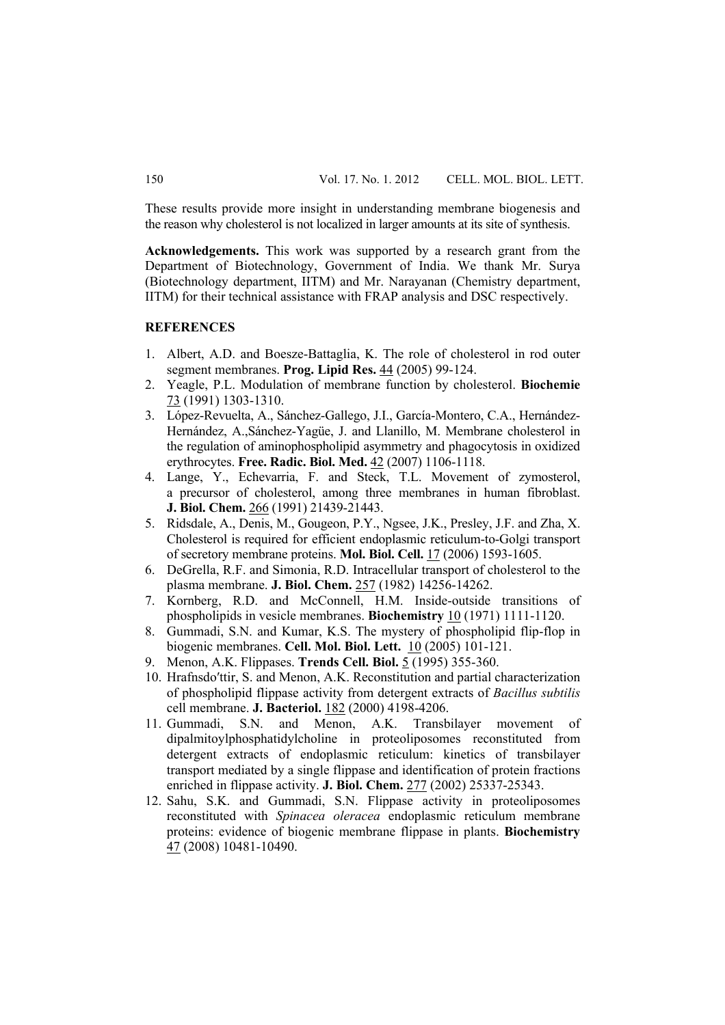These results provide more insight in understanding membrane biogenesis and the reason why cholesterol is not localized in larger amounts at its site of synthesis.

**Acknowledgements.** This work was supported by a research grant from the Department of Biotechnology, Government of India. We thank Mr. Surya (Biotechnology department, IITM) and Mr. Narayanan (Chemistry department, IITM) for their technical assistance with FRAP analysis and DSC respectively.

## **REFERENCES**

- 1. Albert, A.D. and Boesze-Battaglia, K. The role of cholesterol in rod outer segment membranes. **Prog. Lipid Res.** 44 (2005) 99-124.
- 2. Yeagle, P.L. Modulation of membrane function by cholesterol. **Biochemie** 73 (1991) 1303-1310.
- 3. López-Revuelta, A., Sánchez-Gallego, J.I., García-Montero, C.A., Hernández-Hernández, A.,Sánchez-Yagüe, J. and Llanillo, M. Membrane cholesterol in the regulation of aminophospholipid asymmetry and phagocytosis in oxidized erythrocytes. **Free. Radic. Biol. Med.** 42 (2007) 1106-1118.
- 4. Lange, Y., Echevarria, F. and Steck, T.L. Movement of zymosterol, a precursor of cholesterol, among three membranes in human fibroblast. **J. Biol. Chem.** 266 (1991) 21439-21443.
- 5. Ridsdale, A., Denis, M., Gougeon, P.Y., Ngsee, J.K., Presley, J.F. and Zha, X. Cholesterol is required for efficient endoplasmic reticulum-to-Golgi transport of secretory membrane proteins. **Mol. Biol. Cell.** 17 (2006) 1593-1605.
- 6. DeGrella, R.F. and Simonia, R.D. Intracellular transport of cholesterol to the plasma membrane. **J. Biol. Chem.** 257 (1982) 14256-14262.
- 7. Kornberg, R.D. and McConnell, H.M. Inside-outside transitions of phospholipids in vesicle membranes. **Biochemistry** 10 (1971) 1111-1120.
- 8. Gummadi, S.N. and Kumar, K.S. The mystery of phospholipid flip-flop in biogenic membranes. **Cell. Mol. Biol. Lett.** 10 (2005) 101-121.
- 9. Menon, A.K. Flippases. **Trends Cell. Biol.** 5 (1995) 355-360.
- 10. Hrafnsdo′ttir, S. and Menon, A.K. Reconstitution and partial characterization of phospholipid flippase activity from detergent extracts of *Bacillus subtilis* cell membrane. **J. Bacteriol.** 182 (2000) 4198-4206.
- 11. Gummadi, S.N. and Menon, A.K. Transbilayer movement of dipalmitoylphosphatidylcholine in proteoliposomes reconstituted from detergent extracts of endoplasmic reticulum: kinetics of transbilayer transport mediated by a single flippase and identification of protein fractions enriched in flippase activity. **J. Biol. Chem.** 277 (2002) 25337-25343.
- 12. Sahu, S.K. and Gummadi, S.N. Flippase activity in proteoliposomes reconstituted with *Spinacea oleracea* endoplasmic reticulum membrane proteins: evidence of biogenic membrane flippase in plants. **Biochemistry** 47 (2008) 10481-10490.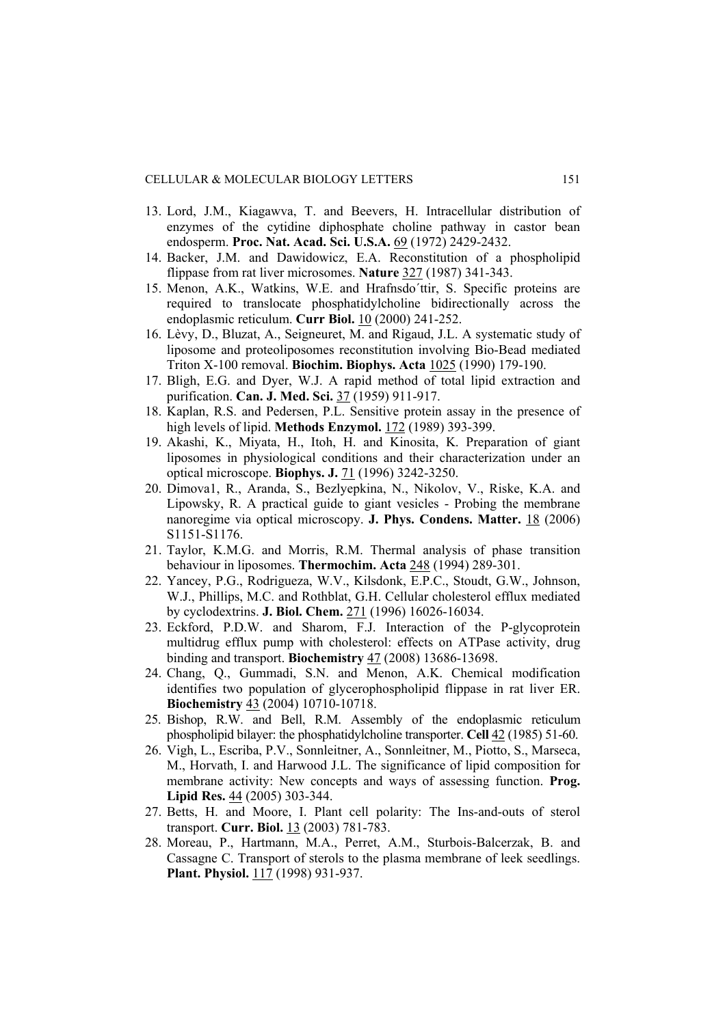- 13. Lord, J.M., Kiagawva, T. and Beevers, H. Intracellular distribution of enzymes of the cytidine diphosphate choline pathway in castor bean endosperm. **Proc. Nat. Acad. Sci. U.S.A.** 69 (1972) 2429-2432.
- 14. Backer, J.M. and Dawidowicz, E.A. Reconstitution of a phospholipid flippase from rat liver microsomes. **Nature** 327 (1987) 341-343.
- 15. Menon, A.K., Watkins, W.E. and Hrafnsdo´ttir, S. Specific proteins are required to translocate phosphatidylcholine bidirectionally across the endoplasmic reticulum. **Curr Biol.** 10 (2000) 241-252.
- 16. Lèvy, D., Bluzat, A., Seigneuret, M. and Rigaud, J.L. A systematic study of liposome and proteoliposomes reconstitution involving Bio-Bead mediated Triton X-100 removal. **Biochim. Biophys. Acta** 1025 (1990) 179-190.
- 17. Bligh, E.G. and Dyer, W.J. A rapid method of total lipid extraction and purification. **Can. J. Med. Sci.** 37 (1959) 911-917.
- 18. Kaplan, R.S. and Pedersen, P.L. Sensitive protein assay in the presence of high levels of lipid. **Methods Enzymol.** 172 (1989) 393-399.
- 19. Akashi, K., Miyata, H., Itoh, H. and Kinosita, K. Preparation of giant liposomes in physiological conditions and their characterization under an optical microscope. **Biophys. J.** 71 (1996) 3242-3250.
- 20. Dimova1, R., Aranda, S., Bezlyepkina, N., Nikolov, V., Riske, K.A. and Lipowsky, R. A practical guide to giant vesicles - Probing the membrane nanoregime via optical microscopy. **J. Phys. Condens. Matter.** 18 (2006) S1151-S1176.
- 21. Taylor, K.M.G. and Morris, R.M. Thermal analysis of phase transition behaviour in liposomes. **Thermochim. Acta** 248 (1994) 289-301.
- 22. Yancey, P.G., Rodrigueza, W.V., Kilsdonk, E.P.C., Stoudt, G.W., Johnson, W.J., Phillips, M.C. and Rothblat, G.H. Cellular cholesterol efflux mediated by cyclodextrins. **J. Biol. Chem.** 271 (1996) 16026-16034.
- 23. Eckford, P.D.W. and Sharom, F.J. Interaction of the P-glycoprotein multidrug efflux pump with cholesterol: effects on ATPase activity, drug binding and transport. **Biochemistry** 47 (2008) 13686-13698.
- 24. Chang, Q., Gummadi, S.N. and Menon, A.K. Chemical modification identifies two population of glycerophospholipid flippase in rat liver ER. **Biochemistry** 43 (2004) 10710-10718.
- 25. Bishop, R.W. and Bell, R.M. Assembly of the endoplasmic reticulum phospholipid bilayer: the phosphatidylcholine transporter. **Cell** 42 (1985) 51-60.
- 26. Vigh, L., Escriba, P.V., Sonnleitner, A., Sonnleitner, M., Piotto, S., Marseca, M., Horvath, I. and Harwood J.L. The significance of lipid composition for membrane activity: New concepts and ways of assessing function. **Prog. Lipid Res.** 44 (2005) 303-344.
- 27. Betts, H. and Moore, I. Plant cell polarity: The Ins-and-outs of sterol transport. **Curr. Biol.** 13 (2003) 781-783.
- 28. Moreau, P., Hartmann, M.A., Perret, A.M., Sturbois-Balcerzak, B. and Cassagne C. Transport of sterols to the plasma membrane of leek seedlings. **Plant. Physiol.** 117 (1998) 931-937.